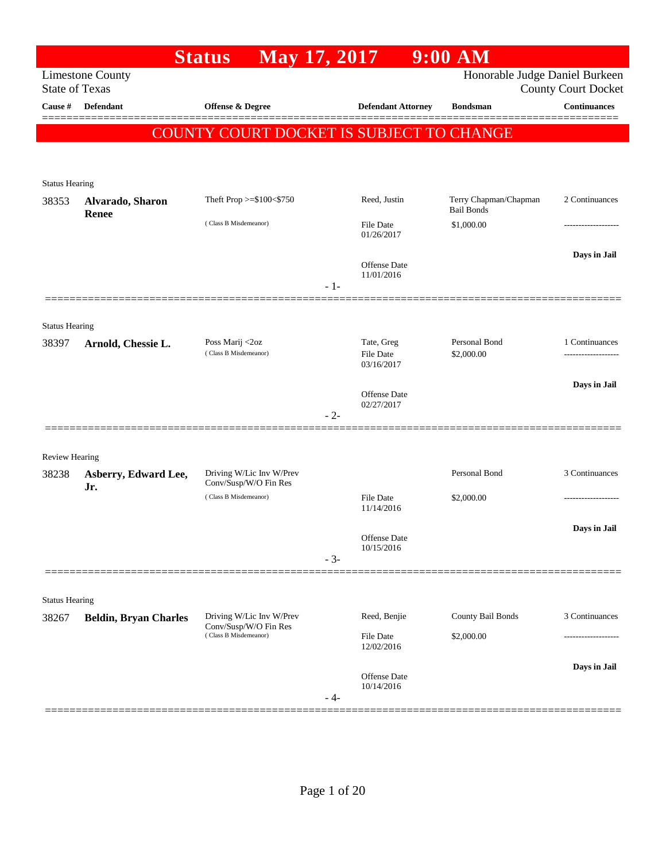|                       |                              | May 17, 2017<br><b>Status</b>                  |       |                                | $9:00$ AM                                  |                            |
|-----------------------|------------------------------|------------------------------------------------|-------|--------------------------------|--------------------------------------------|----------------------------|
| <b>State of Texas</b> | <b>Limestone County</b>      |                                                |       |                                | Honorable Judge Daniel Burkeen             | <b>County Court Docket</b> |
| Cause #               | <b>Defendant</b>             | Offense & Degree                               |       | <b>Defendant Attorney</b>      | <b>Bondsman</b>                            | $\label{1.1}$ Continuances |
|                       |                              | COUNTY COURT DOCKET IS SUBJECT TO CHANGE       |       |                                |                                            |                            |
|                       |                              |                                                |       |                                |                                            |                            |
|                       |                              |                                                |       |                                |                                            |                            |
| <b>Status Hearing</b> |                              |                                                |       |                                |                                            |                            |
| 38353                 | Alvarado, Sharon<br>Renee    | Theft Prop >=\$100<\$750                       |       | Reed, Justin                   | Terry Chapman/Chapman<br><b>Bail Bonds</b> | 2 Continuances             |
|                       |                              | (Class B Misdemeanor)                          |       | <b>File Date</b><br>01/26/2017 | \$1,000.00                                 | .                          |
|                       |                              |                                                |       |                                |                                            | Days in Jail               |
|                       |                              |                                                |       | Offense Date<br>11/01/2016     |                                            |                            |
|                       |                              |                                                | $-1-$ |                                |                                            |                            |
|                       |                              |                                                |       |                                |                                            |                            |
| <b>Status Hearing</b> |                              |                                                |       |                                |                                            |                            |
| 38397                 | Arnold, Chessie L.           | Poss Marij <2oz<br>(Class B Misdemeanor)       |       | Tate, Greg<br><b>File Date</b> | Personal Bond<br>\$2,000.00                | 1 Continuances             |
|                       |                              |                                                |       | 03/16/2017                     |                                            |                            |
|                       |                              |                                                |       | Offense Date                   |                                            | Days in Jail               |
|                       |                              |                                                | $-2-$ | 02/27/2017                     |                                            |                            |
|                       |                              |                                                |       |                                |                                            |                            |
| <b>Review Hearing</b> |                              |                                                |       |                                |                                            |                            |
| 38238                 | Asberry, Edward Lee,         | Driving W/Lic Inv W/Prev                       |       |                                | Personal Bond                              | 3 Continuances             |
|                       | Jr.                          | Conv/Susp/W/O Fin Res<br>(Class B Misdemeanor) |       | <b>File Date</b>               | \$2,000.00                                 | .                          |
|                       |                              |                                                |       | 11/14/2016                     |                                            |                            |
|                       |                              |                                                |       | Offense Date                   |                                            | Days in Jail               |
|                       |                              |                                                | $-3-$ | 10/15/2016                     |                                            |                            |
|                       |                              |                                                |       |                                |                                            |                            |
| <b>Status Hearing</b> |                              |                                                |       |                                |                                            |                            |
| 38267                 | <b>Beldin, Bryan Charles</b> | Driving W/Lic Inv W/Prev                       |       | Reed, Benjie                   | County Bail Bonds                          | 3 Continuances             |
|                       |                              | Conv/Susp/W/O Fin Res<br>(Class B Misdemeanor) |       | File Date                      | \$2,000.00                                 |                            |
|                       |                              |                                                |       | 12/02/2016                     |                                            |                            |
|                       |                              |                                                |       | Offense Date                   |                                            | Days in Jail               |
|                       |                              |                                                | - 4-  | 10/14/2016                     |                                            |                            |
|                       |                              |                                                |       |                                |                                            |                            |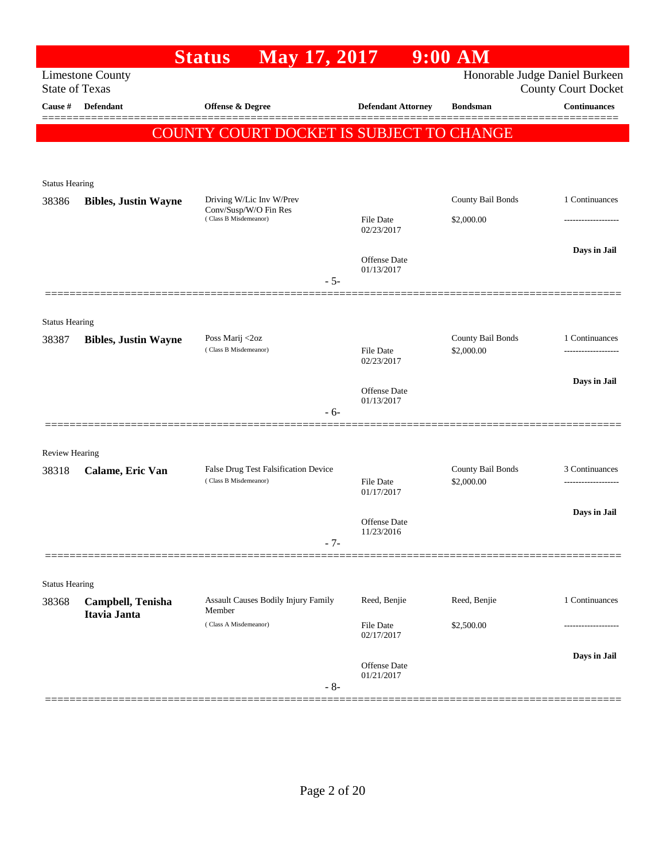|                       |                                   | <b>Status</b>                                                              | May 17, 2017 |                                   | 9:00 AM                         |                                                              |
|-----------------------|-----------------------------------|----------------------------------------------------------------------------|--------------|-----------------------------------|---------------------------------|--------------------------------------------------------------|
| <b>State of Texas</b> | <b>Limestone County</b>           |                                                                            |              |                                   |                                 | Honorable Judge Daniel Burkeen<br><b>County Court Docket</b> |
| Cause $\#$            | <b>Defendant</b>                  | Offense & Degree                                                           |              | <b>Defendant Attorney</b>         | <b>Bondsman</b>                 | <b>Continuances</b>                                          |
|                       |                                   | <b>COUNTY COURT DOCKET IS SUBJECT TO CHANGE</b>                            |              |                                   |                                 |                                                              |
| <b>Status Hearing</b> |                                   |                                                                            |              |                                   |                                 |                                                              |
| 38386                 | <b>Bibles, Justin Wayne</b>       | Driving W/Lic Inv W/Prev<br>Conv/Susp/W/O Fin Res<br>(Class B Misdemeanor) |              | <b>File Date</b><br>02/23/2017    | County Bail Bonds<br>\$2,000.00 | 1 Continuances                                               |
|                       |                                   |                                                                            | $-5-$        | Offense Date<br>01/13/2017        |                                 | Days in Jail                                                 |
| <b>Status Hearing</b> |                                   |                                                                            |              |                                   |                                 |                                                              |
| 38387                 | <b>Bibles, Justin Wayne</b>       | Poss Marij <2oz<br>(Class B Misdemeanor)                                   |              | <b>File Date</b><br>02/23/2017    | County Bail Bonds<br>\$2,000.00 | 1 Continuances<br>.                                          |
|                       |                                   |                                                                            | $-6-$        | <b>Offense</b> Date<br>01/13/2017 |                                 | Days in Jail                                                 |
| Review Hearing        |                                   |                                                                            |              |                                   |                                 |                                                              |
| 38318                 | Calame, Eric Van                  | False Drug Test Falsification Device<br>(Class B Misdemeanor)              |              | <b>File Date</b><br>01/17/2017    | County Bail Bonds<br>\$2,000.00 | 3 Continuances<br>-------------------                        |
|                       |                                   |                                                                            | $-7-$        | Offense Date<br>11/23/2016        |                                 | Days in Jail                                                 |
| <b>Status Hearing</b> |                                   |                                                                            |              |                                   |                                 |                                                              |
| 38368                 | Campbell, Tenisha<br>Itavia Janta | Assault Causes Bodily Injury Family<br>Member<br>(Class A Misdemeanor)     |              | Reed, Benjie                      | Reed, Benjie                    | 1 Continuances                                               |
|                       |                                   |                                                                            |              | File Date<br>02/17/2017           | \$2,500.00                      | Days in Jail                                                 |
|                       |                                   |                                                                            | $-8-$        | Offense Date<br>01/21/2017        |                                 |                                                              |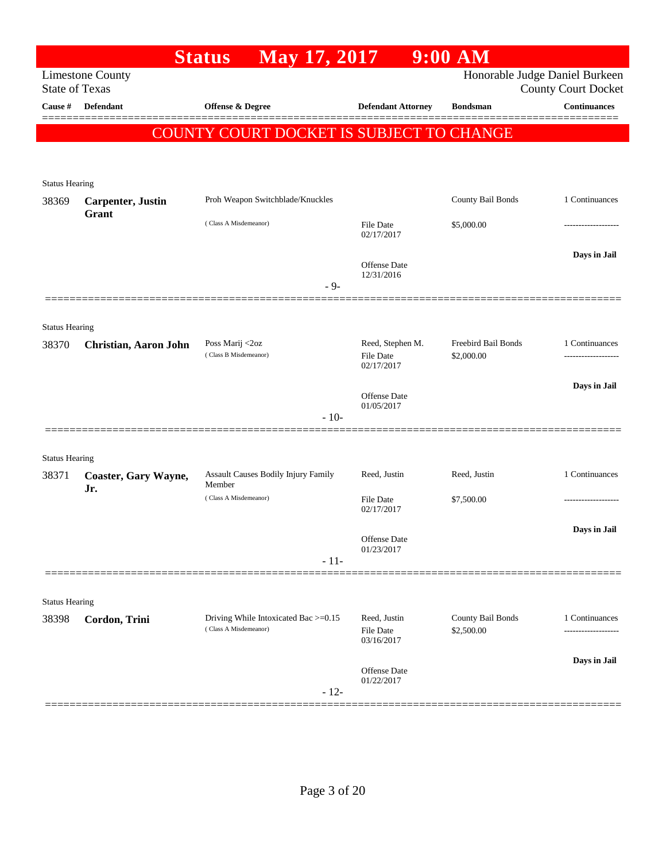|                       |                           | May 17, 2017<br><b>Status</b>                                 |                                                | $9:00$ AM                                |                                                              |
|-----------------------|---------------------------|---------------------------------------------------------------|------------------------------------------------|------------------------------------------|--------------------------------------------------------------|
| <b>State of Texas</b> | <b>Limestone County</b>   |                                                               |                                                |                                          | Honorable Judge Daniel Burkeen<br><b>County Court Docket</b> |
| Cause #               | <b>Defendant</b>          | <b>Offense &amp; Degree</b>                                   | <b>Defendant Attorney</b>                      | <b>Bondsman</b>                          | <b>Continuances</b>                                          |
|                       |                           | COUNTY COURT DOCKET IS SUBJECT TO CHANGE                      |                                                |                                          |                                                              |
|                       |                           |                                                               |                                                |                                          |                                                              |
| <b>Status Hearing</b> |                           |                                                               |                                                |                                          |                                                              |
| 38369                 | <b>Carpenter</b> , Justin | Proh Weapon Switchblade/Knuckles                              |                                                | County Bail Bonds                        | 1 Continuances                                               |
|                       | Grant                     | (Class A Misdemeanor)                                         | <b>File Date</b><br>02/17/2017                 | \$5,000.00                               | ------------------                                           |
|                       |                           | $-9-$                                                         | <b>Offense Date</b><br>12/31/2016              |                                          | Days in Jail                                                 |
|                       |                           |                                                               |                                                |                                          |                                                              |
| <b>Status Hearing</b> |                           |                                                               |                                                |                                          |                                                              |
| 38370                 | Christian, Aaron John     | Poss Marij <2oz<br>(Class B Misdemeanor)                      | Reed, Stephen M.<br>File Date<br>02/17/2017    | <b>Freebird Bail Bonds</b><br>\$2,000.00 | 1 Continuances                                               |
|                       |                           |                                                               | <b>Offense Date</b>                            |                                          | Days in Jail                                                 |
|                       |                           | $-10-$                                                        | 01/05/2017                                     |                                          |                                                              |
| <b>Status Hearing</b> |                           |                                                               |                                                |                                          |                                                              |
| 38371                 | Coaster, Gary Wayne,      | Assault Causes Bodily Injury Family<br>Member                 | Reed, Justin                                   | Reed, Justin                             | 1 Continuances                                               |
|                       | Jr.                       | (Class A Misdemeanor)                                         | <b>File Date</b><br>02/17/2017                 | \$7,500.00                               |                                                              |
|                       |                           |                                                               | Offense Date<br>01/23/2017                     |                                          | Days in Jail                                                 |
|                       |                           | $-11-$                                                        |                                                |                                          |                                                              |
| <b>Status Hearing</b> |                           |                                                               |                                                |                                          |                                                              |
| 38398                 | Cordon, Trini             | Driving While Intoxicated Bac >=0.15<br>(Class A Misdemeanor) | Reed, Justin<br><b>File Date</b><br>03/16/2017 | County Bail Bonds<br>\$2,500.00          | 1 Continuances                                               |
|                       |                           |                                                               |                                                |                                          | Days in Jail                                                 |
|                       |                           | $-12-$                                                        | Offense Date<br>01/22/2017                     |                                          |                                                              |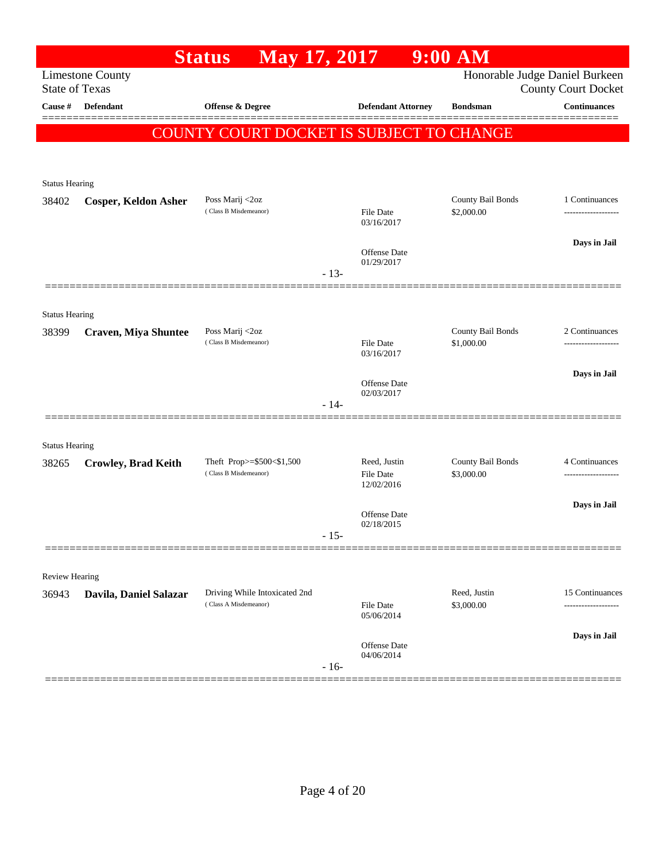|                       |                                                  | May 17, 2017<br><b>Status</b>                          |        |                                                | $9:00$ AM                       |                                       |
|-----------------------|--------------------------------------------------|--------------------------------------------------------|--------|------------------------------------------------|---------------------------------|---------------------------------------|
|                       | <b>Limestone County</b><br><b>State of Texas</b> |                                                        |        |                                                | Honorable Judge Daniel Burkeen  | <b>County Court Docket</b>            |
| Cause #               | <b>Defendant</b>                                 | Offense & Degree                                       |        | <b>Defendant Attorney</b>                      | <b>Bondsman</b>                 | $\label{1.1}$ Continuances            |
|                       |                                                  | COUNTY COURT DOCKET IS SUBJECT TO CHANGE               |        |                                                |                                 |                                       |
|                       |                                                  |                                                        |        |                                                |                                 |                                       |
| <b>Status Hearing</b> |                                                  |                                                        |        |                                                |                                 |                                       |
| 38402                 | <b>Cosper, Keldon Asher</b>                      | Poss Marij <2oz<br>(Class B Misdemeanor)               |        | File Date<br>03/16/2017                        | County Bail Bonds<br>\$2,000.00 | 1 Continuances<br>------------------- |
|                       |                                                  |                                                        |        | <b>Offense Date</b>                            |                                 | Days in Jail                          |
|                       |                                                  |                                                        | $-13-$ | 01/29/2017                                     |                                 |                                       |
| <b>Status Hearing</b> |                                                  |                                                        |        |                                                |                                 |                                       |
| 38399                 | <b>Craven, Miya Shuntee</b>                      | Poss Marij <2oz<br>(Class B Misdemeanor)               |        |                                                | County Bail Bonds<br>\$1,000.00 | 2 Continuances                        |
|                       |                                                  |                                                        |        | <b>File Date</b><br>03/16/2017                 |                                 |                                       |
|                       |                                                  |                                                        |        | Offense Date<br>02/03/2017                     |                                 | Days in Jail                          |
|                       |                                                  |                                                        | $-14-$ |                                                |                                 |                                       |
| <b>Status Hearing</b> |                                                  |                                                        |        |                                                |                                 |                                       |
| 38265                 | <b>Crowley, Brad Keith</b>                       | Theft Prop>=\$500<\$1,500<br>(Class B Misdemeanor)     |        | Reed, Justin<br><b>File Date</b><br>12/02/2016 | County Bail Bonds<br>\$3,000.00 | 4 Continuances                        |
|                       |                                                  |                                                        |        | Offense Date                                   |                                 | Days in Jail                          |
|                       |                                                  |                                                        | $-15-$ | 02/18/2015                                     |                                 |                                       |
| Review Hearing        |                                                  |                                                        |        |                                                |                                 |                                       |
| 36943                 | Davila, Daniel Salazar                           | Driving While Intoxicated 2nd<br>(Class A Misdemeanor) |        | <b>File Date</b><br>05/06/2014                 | Reed, Justin<br>\$3,000.00      | 15 Continuances<br>-------------      |
|                       |                                                  |                                                        |        | Offense Date                                   |                                 | Days in Jail                          |
|                       |                                                  |                                                        | $-16-$ | 04/06/2014                                     |                                 |                                       |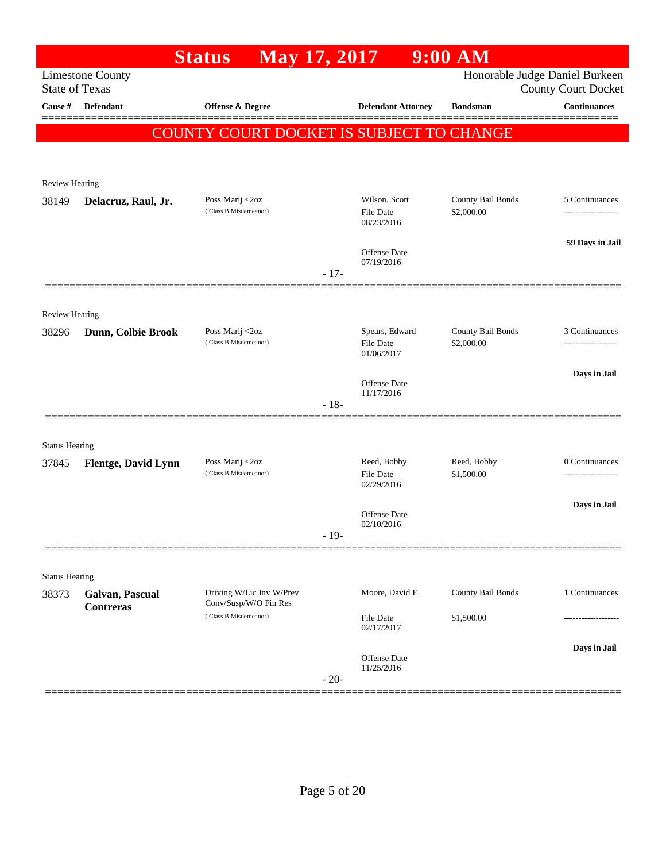|                       |                                     | <b>Status</b>                                     | May 17, 2017 |                                    | $9:00$ AM                       |                                                   |
|-----------------------|-------------------------------------|---------------------------------------------------|--------------|------------------------------------|---------------------------------|---------------------------------------------------|
| <b>State of Texas</b> | <b>Limestone County</b>             |                                                   |              |                                    |                                 | Honorable Judge Daniel Burkeen                    |
| Cause #               | <b>Defendant</b>                    | Offense & Degree                                  |              | <b>Defendant Attorney</b>          | <b>Bondsman</b>                 | <b>County Court Docket</b><br><b>Continuances</b> |
|                       |                                     |                                                   |              |                                    |                                 |                                                   |
|                       |                                     | COUNTY COURT DOCKET IS SUBJECT TO CHANGE          |              |                                    |                                 |                                                   |
|                       |                                     |                                                   |              |                                    |                                 |                                                   |
| Review Hearing        |                                     |                                                   |              |                                    |                                 |                                                   |
| 38149                 | Delacruz, Raul, Jr.                 | Poss Marij <2oz                                   |              | Wilson, Scott                      | County Bail Bonds               | 5 Continuances                                    |
|                       |                                     | (Class B Misdemeanor)                             |              | <b>File Date</b><br>08/23/2016     | \$2,000.00                      | -------------------                               |
|                       |                                     |                                                   |              |                                    |                                 | 59 Days in Jail                                   |
|                       |                                     |                                                   |              | <b>Offense Date</b><br>07/19/2016  |                                 |                                                   |
|                       |                                     |                                                   | $-17-$       |                                    |                                 |                                                   |
|                       |                                     |                                                   |              |                                    |                                 |                                                   |
| <b>Review Hearing</b> |                                     |                                                   |              |                                    |                                 |                                                   |
| 38296                 | Dunn, Colbie Brook                  | Poss Marij <2oz<br>(Class B Misdemeanor)          |              | Spears, Edward<br><b>File Date</b> | County Bail Bonds<br>\$2,000.00 | 3 Continuances                                    |
|                       |                                     |                                                   |              | 01/06/2017                         |                                 |                                                   |
|                       |                                     |                                                   |              | <b>Offense Date</b>                |                                 | Days in Jail                                      |
|                       |                                     |                                                   | $-18-$       | 11/17/2016                         |                                 |                                                   |
|                       |                                     |                                                   |              |                                    |                                 |                                                   |
| <b>Status Hearing</b> |                                     |                                                   |              |                                    |                                 |                                                   |
| 37845                 | Flentge, David Lynn                 | Poss Marij <2oz                                   |              | Reed, Bobby                        | Reed, Bobby                     | 0 Continuances                                    |
|                       |                                     | (Class B Misdemeanor)                             |              | <b>File Date</b><br>02/29/2016     | \$1,500.00                      |                                                   |
|                       |                                     |                                                   |              |                                    |                                 | Days in Jail                                      |
|                       |                                     |                                                   |              | Offense Date<br>02/10/2016         |                                 |                                                   |
|                       |                                     |                                                   | $-19-$       |                                    |                                 |                                                   |
|                       |                                     |                                                   |              |                                    |                                 |                                                   |
| <b>Status Hearing</b> |                                     |                                                   |              |                                    |                                 |                                                   |
| 38373                 | Galvan, Pascual<br><b>Contreras</b> | Driving W/Lic Inv W/Prev<br>Conv/Susp/W/O Fin Res |              | Moore, David E.                    | County Bail Bonds               | 1 Continuances                                    |
|                       |                                     | (Class B Misdemeanor)                             |              | File Date<br>02/17/2017            | \$1,500.00                      |                                                   |
|                       |                                     |                                                   |              |                                    |                                 | Days in Jail                                      |
|                       |                                     |                                                   |              | Offense Date<br>11/25/2016         |                                 |                                                   |
|                       |                                     |                                                   | $-20-$       |                                    |                                 |                                                   |
|                       |                                     |                                                   |              |                                    |                                 |                                                   |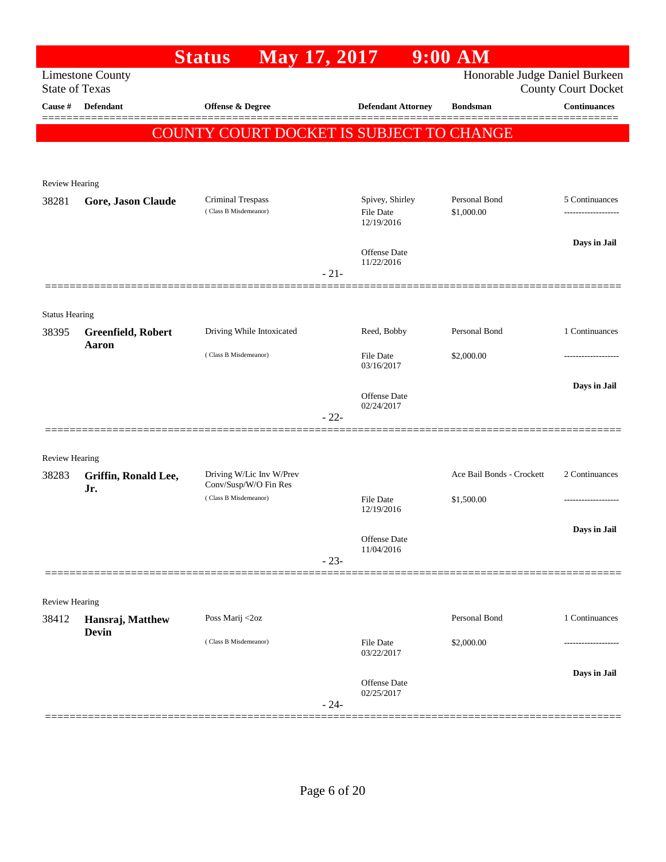|                                |                         | <b>Status</b><br>May 17, 2017                  |                                   | $9:00$ AM                      |                                                   |
|--------------------------------|-------------------------|------------------------------------------------|-----------------------------------|--------------------------------|---------------------------------------------------|
| <b>State of Texas</b>          | <b>Limestone County</b> |                                                |                                   | Honorable Judge Daniel Burkeen |                                                   |
| Cause #                        | <b>Defendant</b>        | Offense & Degree                               | <b>Defendant Attorney</b>         | <b>Bondsman</b>                | <b>County Court Docket</b><br><b>Continuances</b> |
|                                |                         |                                                |                                   |                                |                                                   |
|                                |                         | COUNTY COURT DOCKET IS SUBJECT TO CHANGE       |                                   |                                |                                                   |
|                                |                         |                                                |                                   |                                |                                                   |
| Review Hearing                 |                         |                                                |                                   |                                |                                                   |
| 38281                          | Gore, Jason Claude      | Criminal Trespass                              | Spivey, Shirley                   | Personal Bond                  | 5 Continuances                                    |
|                                |                         | (Class B Misdemeanor)                          | <b>File Date</b><br>12/19/2016    | \$1,000.00                     |                                                   |
|                                |                         |                                                |                                   |                                | Days in Jail                                      |
|                                |                         |                                                | <b>Offense Date</b><br>11/22/2016 |                                |                                                   |
|                                |                         |                                                | $-21-$                            |                                |                                                   |
|                                |                         |                                                |                                   |                                |                                                   |
| <b>Status Hearing</b><br>38395 | Greenfield, Robert      | Driving While Intoxicated                      | Reed, Bobby                       | Personal Bond                  | 1 Continuances                                    |
|                                | Aaron                   | (Class B Misdemeanor)                          |                                   |                                |                                                   |
|                                |                         |                                                | <b>File Date</b><br>03/16/2017    | \$2,000.00                     | .                                                 |
|                                |                         |                                                | <b>Offense Date</b>               |                                | Days in Jail                                      |
|                                |                         |                                                | 02/24/2017                        |                                |                                                   |
|                                |                         |                                                | $-22-$                            |                                |                                                   |
| <b>Review Hearing</b>          |                         |                                                |                                   |                                |                                                   |
| 38283                          | Griffin, Ronald Lee,    | Driving W/Lic Inv W/Prev                       |                                   | Ace Bail Bonds - Crockett      | 2 Continuances                                    |
|                                | Jr.                     | Conv/Susp/W/O Fin Res<br>(Class B Misdemeanor) | <b>File Date</b>                  | \$1,500.00                     | -----------------                                 |
|                                |                         |                                                | 12/19/2016                        |                                |                                                   |
|                                |                         |                                                | Offense Date                      |                                | Days in Jail                                      |
|                                |                         |                                                | 11/04/2016<br>$-23-$              |                                |                                                   |
|                                |                         |                                                |                                   |                                |                                                   |
| <b>Review Hearing</b>          |                         |                                                |                                   |                                |                                                   |
| 38412                          | Hansraj, Matthew        | Poss Marij <2oz                                |                                   | Personal Bond                  | 1 Continuances                                    |
|                                | <b>Devin</b>            | (Class B Misdemeanor)                          | File Date                         | \$2,000.00                     |                                                   |
|                                |                         |                                                | 03/22/2017                        |                                |                                                   |
|                                |                         |                                                | <b>Offense</b> Date               |                                | Days in Jail                                      |
|                                |                         |                                                | 02/25/2017<br>$-24-$              |                                |                                                   |
|                                |                         |                                                |                                   |                                |                                                   |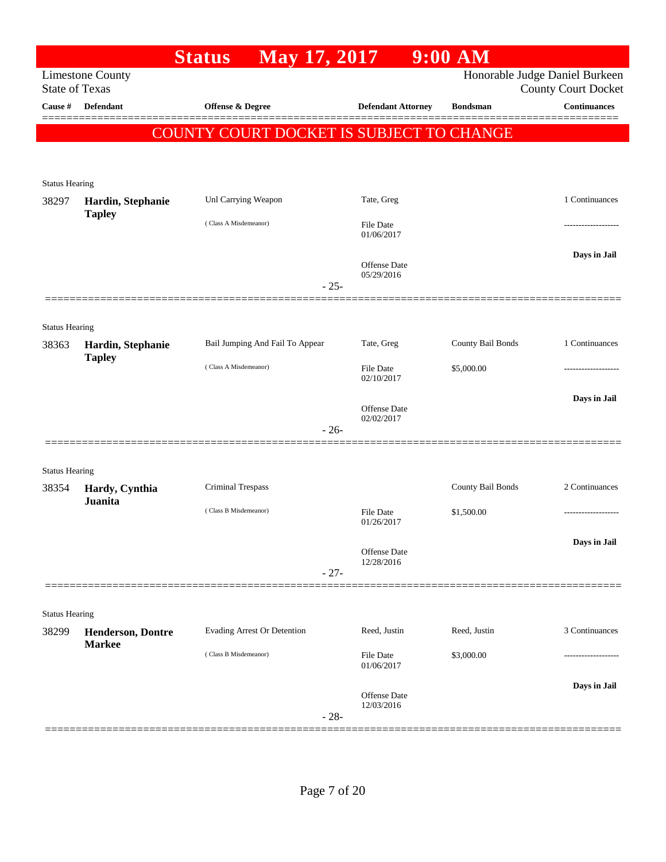|                                |                                    | <b>Status</b>                                   | May 17, 2017 |                                | $9:00$ AM         |                                                              |
|--------------------------------|------------------------------------|-------------------------------------------------|--------------|--------------------------------|-------------------|--------------------------------------------------------------|
| <b>State of Texas</b>          | <b>Limestone County</b>            |                                                 |              |                                |                   | Honorable Judge Daniel Burkeen<br><b>County Court Docket</b> |
| Cause #                        | Defendant                          | Offense & Degree                                |              | <b>Defendant Attorney</b>      | <b>Bondsman</b>   | <b>Continuances</b>                                          |
|                                |                                    | <b>COUNTY COURT DOCKET IS SUBJECT TO CHANGE</b> |              |                                |                   |                                                              |
|                                |                                    |                                                 |              |                                |                   |                                                              |
| <b>Status Hearing</b>          |                                    |                                                 |              |                                |                   |                                                              |
| 38297                          | Hardin, Stephanie<br><b>Tapley</b> | Unl Carrying Weapon                             |              | Tate, Greg                     |                   | 1 Continuances                                               |
|                                |                                    | (Class A Misdemeanor)                           |              | File Date<br>01/06/2017        |                   |                                                              |
|                                |                                    |                                                 |              | Offense Date<br>05/29/2016     |                   | Days in Jail                                                 |
|                                |                                    |                                                 | $-25-$       |                                |                   |                                                              |
|                                |                                    |                                                 |              |                                |                   |                                                              |
| <b>Status Hearing</b><br>38363 | Hardin, Stephanie<br><b>Tapley</b> | Bail Jumping And Fail To Appear                 |              | Tate, Greg                     | County Bail Bonds | 1 Continuances                                               |
|                                |                                    | (Class A Misdemeanor)                           |              | <b>File Date</b><br>02/10/2017 | \$5,000.00        |                                                              |
|                                |                                    |                                                 |              | Offense Date<br>02/02/2017     |                   | Days in Jail                                                 |
|                                |                                    |                                                 | $-26-$       |                                |                   |                                                              |
| <b>Status Hearing</b>          |                                    |                                                 |              |                                |                   |                                                              |
| 38354                          | Hardy, Cynthia<br><b>Juanita</b>   | Criminal Trespass                               |              |                                | County Bail Bonds | 2 Continuances                                               |
|                                |                                    | (Class B Misdemeanor)                           |              | File Date<br>01/26/2017        | \$1,500.00        |                                                              |
|                                |                                    |                                                 |              | Offense Date                   |                   | Days in Jail                                                 |
|                                |                                    |                                                 | $-27-$       | 12/28/2016                     |                   |                                                              |
|                                |                                    |                                                 |              |                                |                   |                                                              |
| <b>Status Hearing</b><br>38299 | <b>Henderson, Dontre</b>           | Evading Arrest Or Detention                     |              | Reed, Justin                   | Reed, Justin      | 3 Continuances                                               |
|                                | <b>Markee</b>                      | (Class B Misdemeanor)                           |              | File Date                      | \$3,000.00        |                                                              |
|                                |                                    |                                                 |              | 01/06/2017                     |                   |                                                              |
|                                |                                    |                                                 |              | Offense Date<br>12/03/2016     |                   | Days in Jail                                                 |
|                                |                                    |                                                 |              | $-28-$                         |                   |                                                              |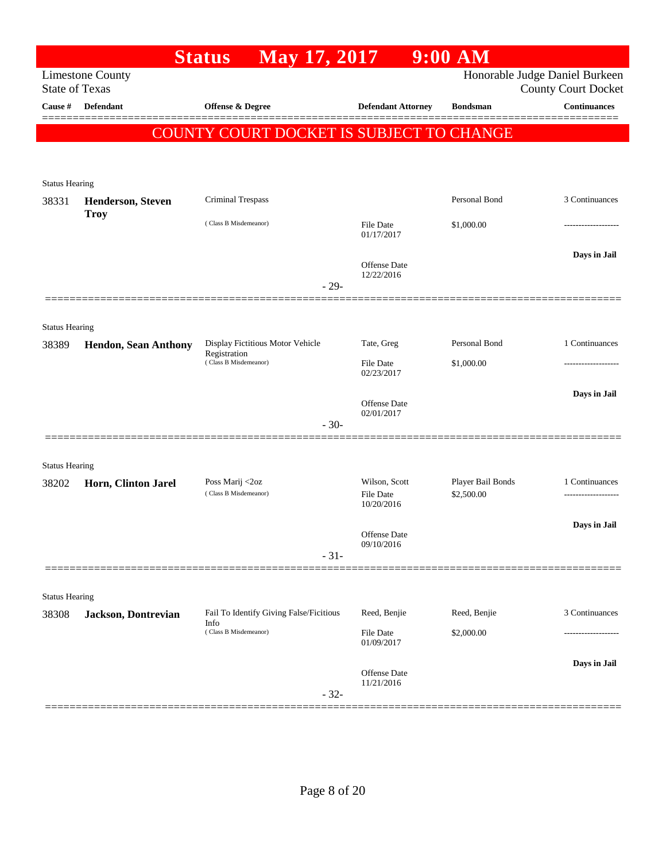| <b>Limestone County</b>  |                                                                                                                                              |                                                                                                                                                   |                                                                                              | Honorable Judge Daniel Burkeen<br><b>County Court Docket</b>        |
|--------------------------|----------------------------------------------------------------------------------------------------------------------------------------------|---------------------------------------------------------------------------------------------------------------------------------------------------|----------------------------------------------------------------------------------------------|---------------------------------------------------------------------|
| <b>Defendant</b>         | <b>Offense &amp; Degree</b>                                                                                                                  | <b>Defendant Attorney</b>                                                                                                                         | <b>Bondsman</b>                                                                              | <b>Continuances</b>                                                 |
|                          |                                                                                                                                              |                                                                                                                                                   |                                                                                              |                                                                     |
|                          |                                                                                                                                              |                                                                                                                                                   |                                                                                              |                                                                     |
|                          |                                                                                                                                              |                                                                                                                                                   |                                                                                              |                                                                     |
| <b>Status Hearing</b>    |                                                                                                                                              |                                                                                                                                                   |                                                                                              |                                                                     |
| <b>Henderson, Steven</b> |                                                                                                                                              |                                                                                                                                                   | Personal Bond                                                                                | 3 Continuances                                                      |
|                          | (Class B Misdemeanor)                                                                                                                        | File Date<br>01/17/2017                                                                                                                           | \$1,000.00                                                                                   |                                                                     |
|                          |                                                                                                                                              | Offense Date<br>12/22/2016                                                                                                                        |                                                                                              | Days in Jail                                                        |
|                          |                                                                                                                                              |                                                                                                                                                   |                                                                                              |                                                                     |
|                          |                                                                                                                                              |                                                                                                                                                   |                                                                                              |                                                                     |
|                          |                                                                                                                                              |                                                                                                                                                   | Personal Bond                                                                                | 1 Continuances                                                      |
|                          | Registration<br>(Class B Misdemeanor)                                                                                                        | <b>File Date</b>                                                                                                                                  | \$1,000.00                                                                                   |                                                                     |
|                          |                                                                                                                                              | 02/23/2017                                                                                                                                        |                                                                                              |                                                                     |
|                          |                                                                                                                                              | Offense Date                                                                                                                                      |                                                                                              | Days in Jail                                                        |
|                          |                                                                                                                                              | 02/01/2017                                                                                                                                        |                                                                                              |                                                                     |
|                          |                                                                                                                                              |                                                                                                                                                   |                                                                                              |                                                                     |
| <b>Status Hearing</b>    |                                                                                                                                              |                                                                                                                                                   |                                                                                              |                                                                     |
| Horn, Clinton Jarel      | Poss Marij <2oz                                                                                                                              | Wilson, Scott                                                                                                                                     | Player Bail Bonds                                                                            | 1 Continuances                                                      |
|                          |                                                                                                                                              | 10/20/2016                                                                                                                                        |                                                                                              | -------------------                                                 |
|                          |                                                                                                                                              |                                                                                                                                                   |                                                                                              | Days in Jail                                                        |
|                          |                                                                                                                                              | 09/10/2016                                                                                                                                        |                                                                                              |                                                                     |
|                          |                                                                                                                                              |                                                                                                                                                   |                                                                                              |                                                                     |
|                          |                                                                                                                                              |                                                                                                                                                   |                                                                                              |                                                                     |
|                          |                                                                                                                                              | Reed, Benjie                                                                                                                                      | Reed, Benjie                                                                                 | 3 Continuances                                                      |
|                          | Info<br>(Class B Misdemeanor)                                                                                                                | File Date                                                                                                                                         | \$2,000.00                                                                                   |                                                                     |
|                          |                                                                                                                                              | 01/09/2017                                                                                                                                        |                                                                                              |                                                                     |
|                          |                                                                                                                                              | Offense Date                                                                                                                                      |                                                                                              | Days in Jail                                                        |
|                          | $-32-$                                                                                                                                       | 11/21/2016                                                                                                                                        |                                                                                              |                                                                     |
|                          | <b>State of Texas</b><br><b>Troy</b><br><b>Status Hearing</b><br><b>Hendon, Sean Anthony</b><br><b>Status Hearing</b><br>Jackson, Dontrevian | <b>Status</b><br><b>Criminal Trespass</b><br>Display Fictitious Motor Vehicle<br>(Class B Misdemeanor)<br>Fail To Identify Giving False/Ficitious | <b>May 17, 2017</b><br>$-29-$<br>Tate, Greg<br>$-30-$<br>File Date<br>Offense Date<br>$-31-$ | $9:00$ AM<br>COUNTY COURT DOCKET IS SUBJECT TO CHANGE<br>\$2,500.00 |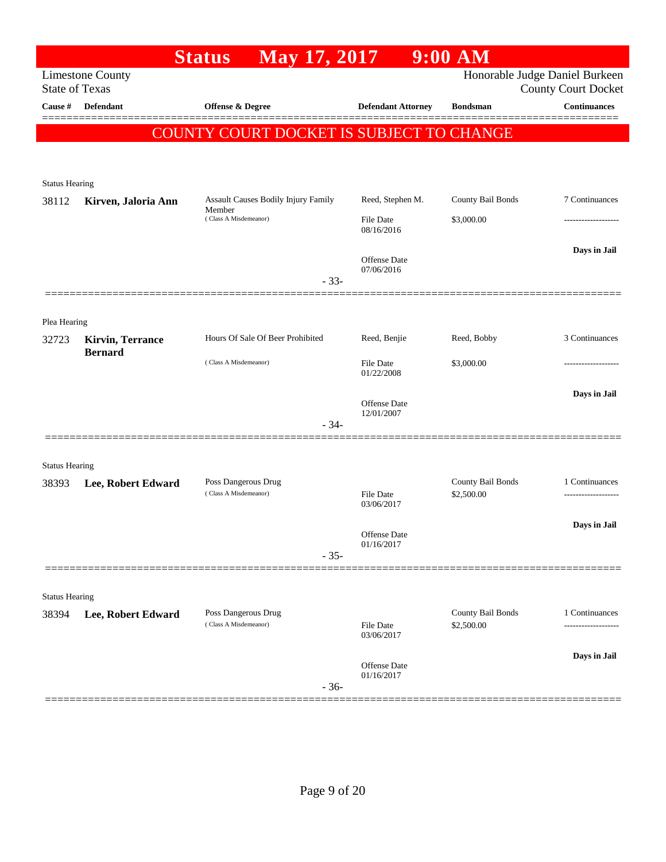|                       |                         | May 17, 2017<br><b>Status</b>                 |                            | $9:00$ AM         |                                |
|-----------------------|-------------------------|-----------------------------------------------|----------------------------|-------------------|--------------------------------|
|                       | <b>Limestone County</b> |                                               |                            |                   | Honorable Judge Daniel Burkeen |
| <b>State of Texas</b> |                         |                                               |                            |                   | <b>County Court Docket</b>     |
| Cause #               | <b>Defendant</b>        | Offense & Degree                              | <b>Defendant Attorney</b>  | <b>Bondsman</b>   | <b>Continuances</b><br>======= |
|                       |                         | COUNTY COURT DOCKET IS SUBJECT TO CHANGE      |                            |                   |                                |
|                       |                         |                                               |                            |                   |                                |
|                       |                         |                                               |                            |                   |                                |
| <b>Status Hearing</b> |                         |                                               |                            |                   |                                |
| 38112                 | Kirven, Jaloria Ann     | Assault Causes Bodily Injury Family<br>Member | Reed, Stephen M.           | County Bail Bonds | 7 Continuances                 |
|                       |                         | (Class A Misdemeanor)                         | File Date<br>08/16/2016    | \$3,000.00        |                                |
|                       |                         |                                               |                            |                   | Days in Jail                   |
|                       |                         |                                               | Offense Date<br>07/06/2016 |                   |                                |
|                       |                         | $-33-$                                        |                            |                   |                                |
|                       |                         |                                               |                            |                   |                                |
| Plea Hearing          |                         |                                               |                            |                   |                                |
| 32723                 | <b>Kirvin, Terrance</b> | Hours Of Sale Of Beer Prohibited              | Reed, Benjie               | Reed, Bobby       | 3 Continuances                 |
|                       | <b>Bernard</b>          | (Class A Misdemeanor)                         | File Date                  |                   |                                |
|                       |                         |                                               | 01/22/2008                 | \$3,000.00        |                                |
|                       |                         |                                               |                            |                   | Days in Jail                   |
|                       |                         |                                               | Offense Date<br>12/01/2007 |                   |                                |
|                       |                         | $-34-$                                        |                            |                   |                                |
|                       |                         |                                               |                            |                   |                                |
| <b>Status Hearing</b> |                         |                                               |                            |                   |                                |
| 38393                 | Lee, Robert Edward      | Poss Dangerous Drug<br>(Class A Misdemeanor)  | <b>File Date</b>           | County Bail Bonds | 1 Continuances                 |
|                       |                         |                                               | 03/06/2017                 | \$2,500.00        |                                |
|                       |                         |                                               |                            |                   | Days in Jail                   |
|                       |                         |                                               | Offense Date<br>01/16/2017 |                   |                                |
|                       |                         | $-35-$                                        |                            |                   |                                |
|                       |                         |                                               |                            |                   |                                |
| <b>Status Hearing</b> |                         |                                               |                            |                   |                                |
| 38394                 | Lee, Robert Edward      | Poss Dangerous Drug<br>(Class A Misdemeanor)  |                            | County Bail Bonds | 1 Continuances                 |
|                       |                         |                                               | File Date<br>03/06/2017    | \$2,500.00        |                                |
|                       |                         |                                               |                            |                   | Days in Jail                   |
|                       |                         |                                               | Offense Date<br>01/16/2017 |                   |                                |
|                       |                         | $-36-$                                        |                            |                   |                                |
|                       |                         |                                               |                            |                   |                                |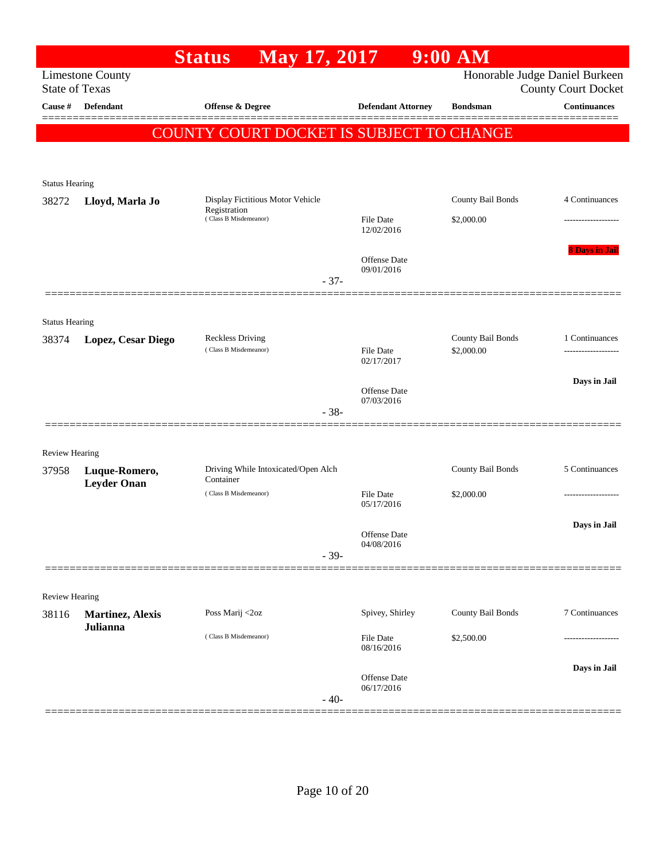|                       |                         | <b>Status</b>                            | May 17, 2017 |                                   | $9:00$ AM         |                                                              |
|-----------------------|-------------------------|------------------------------------------|--------------|-----------------------------------|-------------------|--------------------------------------------------------------|
| <b>State of Texas</b> | <b>Limestone County</b> |                                          |              |                                   |                   | Honorable Judge Daniel Burkeen<br><b>County Court Docket</b> |
| Cause #               | <b>Defendant</b>        | Offense & Degree                         |              | <b>Defendant Attorney</b>         | <b>Bondsman</b>   | <b>Continuances</b>                                          |
|                       |                         | COUNTY COURT DOCKET IS SUBJECT TO CHANGE |              |                                   |                   |                                                              |
|                       |                         |                                          |              |                                   |                   |                                                              |
| <b>Status Hearing</b> |                         |                                          |              |                                   |                   |                                                              |
| 38272                 | Lloyd, Marla Jo         | Display Fictitious Motor Vehicle         |              |                                   | County Bail Bonds | 4 Continuances                                               |
|                       |                         | Registration<br>(Class B Misdemeanor)    |              | <b>File Date</b><br>12/02/2016    | \$2,000.00        |                                                              |
|                       |                         |                                          | $-37-$       | <b>Offense</b> Date<br>09/01/2016 |                   | <b>8 Days in Jail</b>                                        |
|                       |                         |                                          |              |                                   |                   |                                                              |
| <b>Status Hearing</b> |                         | <b>Reckless Driving</b>                  |              |                                   | County Bail Bonds | 1 Continuances                                               |
| 38374                 | Lopez, Cesar Diego      | (Class B Misdemeanor)                    |              | <b>File Date</b><br>02/17/2017    | \$2,000.00        |                                                              |
|                       |                         |                                          |              | Offense Date                      |                   | Days in Jail                                                 |
|                       |                         |                                          | $-38-$       | 07/03/2016                        |                   |                                                              |
| Review Hearing        |                         |                                          |              |                                   |                   |                                                              |
| 37958                 | Luque-Romero,           | Driving While Intoxicated/Open Alch      |              |                                   | County Bail Bonds | 5 Continuances                                               |
|                       | <b>Leyder Onan</b>      | Container<br>(Class B Misdemeanor)       |              | <b>File Date</b><br>05/17/2016    | \$2,000.00        |                                                              |
|                       |                         |                                          |              | Offense Date<br>04/08/2016        |                   | Days in Jail                                                 |
|                       |                         |                                          | $-39-$       |                                   |                   |                                                              |
| Review Hearing        |                         |                                          |              |                                   |                   |                                                              |
| 38116                 | <b>Martinez, Alexis</b> | Poss Marij <2oz                          |              | Spivey, Shirley                   | County Bail Bonds | 7 Continuances                                               |
|                       | Julianna                | (Class B Misdemeanor)                    |              | <b>File Date</b><br>08/16/2016    | \$2,500.00        |                                                              |
|                       |                         |                                          | $-40-$       | Offense Date<br>06/17/2016        |                   | Days in Jail                                                 |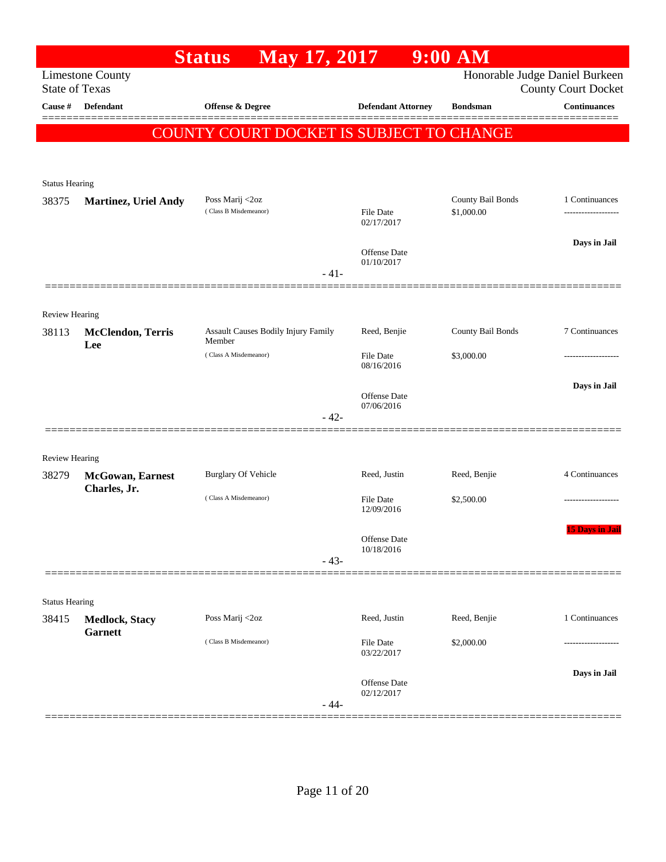|                       |                                          | <b>Status</b><br>May 17, 2017                        |                                   | $9:00$ AM                       |                                                   |
|-----------------------|------------------------------------------|------------------------------------------------------|-----------------------------------|---------------------------------|---------------------------------------------------|
| <b>State of Texas</b> | <b>Limestone County</b>                  |                                                      |                                   |                                 | Honorable Judge Daniel Burkeen                    |
| Cause #               | <b>Defendant</b>                         | Offense & Degree                                     | <b>Defendant Attorney</b>         | <b>Bondsman</b>                 | <b>County Court Docket</b><br><b>Continuances</b> |
|                       |                                          |                                                      |                                   |                                 |                                                   |
|                       |                                          | COUNTY COURT DOCKET IS SUBJECT TO CHANGE             |                                   |                                 |                                                   |
|                       |                                          |                                                      |                                   |                                 |                                                   |
| <b>Status Hearing</b> |                                          |                                                      |                                   |                                 |                                                   |
| 38375                 | <b>Martinez, Uriel Andy</b>              | Poss Marij <2oz<br>(Class B Misdemeanor)             | <b>File Date</b>                  | County Bail Bonds<br>\$1,000.00 | 1 Continuances                                    |
|                       |                                          |                                                      | 02/17/2017                        |                                 |                                                   |
|                       |                                          |                                                      | <b>Offense Date</b>               |                                 | Days in Jail                                      |
|                       |                                          | $-41-$                                               | 01/10/2017                        |                                 |                                                   |
|                       |                                          |                                                      |                                   |                                 |                                                   |
| Review Hearing        |                                          |                                                      |                                   |                                 |                                                   |
| 38113                 | <b>McClendon</b> , Terris                | <b>Assault Causes Bodily Injury Family</b><br>Member | Reed, Benjie                      | County Bail Bonds               | 7 Continuances                                    |
|                       | Lee                                      | (Class A Misdemeanor)                                | <b>File Date</b>                  | \$3,000.00                      | .                                                 |
|                       |                                          |                                                      | 08/16/2016                        |                                 |                                                   |
|                       |                                          |                                                      | <b>Offense Date</b><br>07/06/2016 |                                 | Days in Jail                                      |
|                       |                                          | $-42-$                                               |                                   |                                 |                                                   |
|                       |                                          |                                                      |                                   |                                 |                                                   |
| <b>Review Hearing</b> |                                          |                                                      |                                   |                                 |                                                   |
| 38279                 | <b>McGowan</b> , Earnest<br>Charles, Jr. | <b>Burglary Of Vehicle</b>                           | Reed, Justin                      | Reed, Benjie                    | 4 Continuances                                    |
|                       |                                          | (Class A Misdemeanor)                                | <b>File Date</b><br>12/09/2016    | \$2,500.00                      | .                                                 |
|                       |                                          |                                                      |                                   |                                 | <b>15 Days in Jail</b>                            |
|                       |                                          |                                                      | Offense Date<br>10/18/2016        |                                 |                                                   |
|                       |                                          | $-43-$                                               |                                   |                                 |                                                   |
|                       |                                          |                                                      |                                   |                                 |                                                   |
| <b>Status Hearing</b> |                                          | Poss Marij <2oz                                      | Reed, Justin                      | Reed, Benjie                    | 1 Continuances                                    |
| 38415                 | <b>Medlock, Stacy</b><br><b>Garnett</b>  |                                                      |                                   |                                 |                                                   |
|                       |                                          | (Class B Misdemeanor)                                | File Date<br>03/22/2017           | \$2,000.00                      |                                                   |
|                       |                                          |                                                      |                                   |                                 | Days in Jail                                      |
|                       |                                          |                                                      | <b>Offense Date</b><br>02/12/2017 |                                 |                                                   |
|                       |                                          | $-44-$                                               |                                   |                                 |                                                   |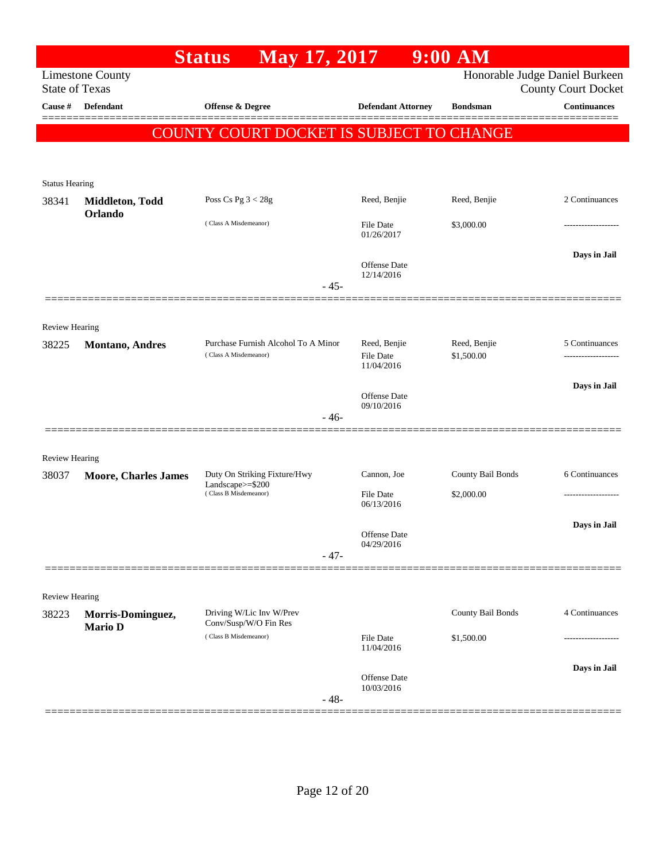|                         |                                           | May 17, 2017<br><b>Status</b>                        |                                | $9:00$ AM         |                                                   |
|-------------------------|-------------------------------------------|------------------------------------------------------|--------------------------------|-------------------|---------------------------------------------------|
|                         | <b>Limestone County</b>                   |                                                      |                                |                   | Honorable Judge Daniel Burkeen                    |
| Cause #                 | <b>State of Texas</b><br><b>Defendant</b> | Offense & Degree                                     | <b>Defendant Attorney</b>      | <b>Bondsman</b>   | <b>County Court Docket</b><br><b>Continuances</b> |
|                         |                                           |                                                      |                                |                   |                                                   |
|                         |                                           | COUNTY COURT DOCKET IS SUBJECT TO CHANGE             |                                |                   |                                                   |
|                         |                                           |                                                      |                                |                   |                                                   |
| <b>Status Hearing</b>   |                                           |                                                      |                                |                   |                                                   |
| 38341                   | Middleton, Todd                           | Poss Cs Pg $3 < 28g$                                 | Reed, Benjie                   | Reed, Benjie      | 2 Continuances                                    |
|                         | Orlando                                   | (Class A Misdemeanor)                                | File Date                      | \$3,000.00        | .                                                 |
|                         |                                           |                                                      | 01/26/2017                     |                   |                                                   |
|                         |                                           |                                                      | Offense Date                   |                   | Days in Jail                                      |
|                         |                                           | $-45-$                                               | 12/14/2016                     |                   |                                                   |
|                         |                                           |                                                      |                                |                   |                                                   |
|                         |                                           |                                                      |                                |                   |                                                   |
| Review Hearing<br>38225 | <b>Montano</b> , Andres                   | Purchase Furnish Alcohol To A Minor                  | Reed, Benjie                   | Reed, Benjie      | 5 Continuances                                    |
|                         |                                           | (Class A Misdemeanor)                                | File Date<br>11/04/2016        | \$1,500.00        |                                                   |
|                         |                                           |                                                      |                                |                   | Days in Jail                                      |
|                         |                                           |                                                      | Offense Date<br>09/10/2016     |                   |                                                   |
|                         |                                           | $-46-$                                               |                                |                   |                                                   |
|                         | ==============                            |                                                      |                                |                   |                                                   |
| <b>Review Hearing</b>   |                                           |                                                      |                                |                   |                                                   |
| 38037                   | Moore, Charles James                      | Duty On Striking Fixture/Hwy<br>Landscape $>=$ \$200 | Cannon, Joe                    | County Bail Bonds | 6 Continuances                                    |
|                         |                                           | (Class B Misdemeanor)                                | <b>File Date</b><br>06/13/2016 | \$2,000.00        |                                                   |
|                         |                                           |                                                      |                                |                   | Days in Jail                                      |
|                         |                                           |                                                      | Offense Date<br>04/29/2016     |                   |                                                   |
|                         |                                           | $-47-$                                               |                                |                   |                                                   |
|                         |                                           |                                                      |                                |                   |                                                   |
| Review Hearing          |                                           |                                                      |                                |                   |                                                   |
| 38223                   | Morris-Dominguez,<br><b>Mario D</b>       | Driving W/Lic Inv W/Prev<br>Conv/Susp/W/O Fin Res    |                                | County Bail Bonds | 4 Continuances                                    |
|                         |                                           | (Class B Misdemeanor)                                | File Date<br>11/04/2016        | \$1,500.00        |                                                   |
|                         |                                           |                                                      |                                |                   | Days in Jail                                      |
|                         |                                           |                                                      | Offense Date<br>10/03/2016     |                   |                                                   |
|                         |                                           | $-48-$                                               |                                |                   |                                                   |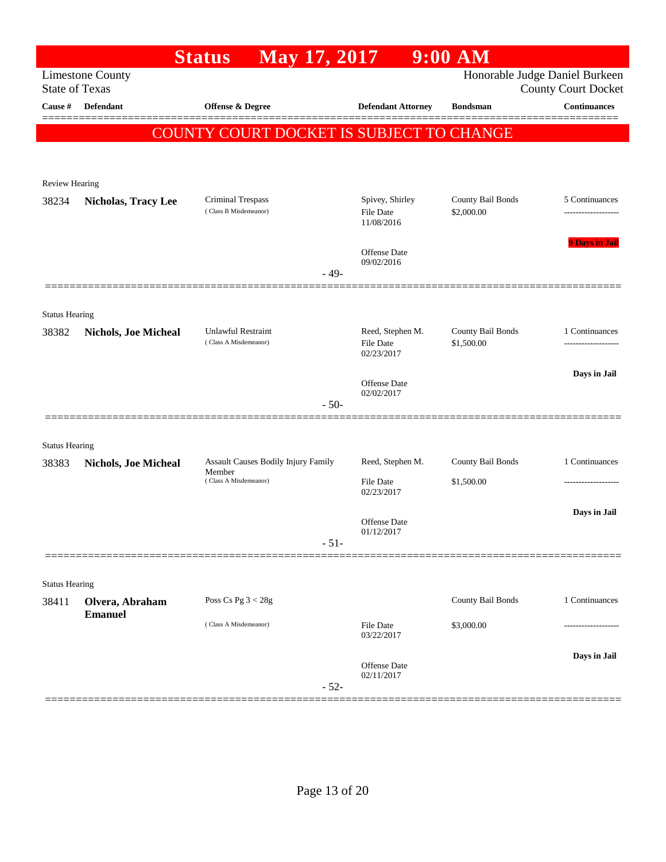|                       |                             | <b>Status</b><br>May 17, 2017                     |        |                                             | $9:00$ AM                       |                                                              |
|-----------------------|-----------------------------|---------------------------------------------------|--------|---------------------------------------------|---------------------------------|--------------------------------------------------------------|
| <b>State of Texas</b> | <b>Limestone County</b>     |                                                   |        |                                             |                                 | Honorable Judge Daniel Burkeen<br><b>County Court Docket</b> |
| <b>Cause</b> #        | Defendant                   | Offense & Degree                                  |        | <b>Defendant Attorney</b>                   | <b>Bondsman</b>                 | <b>Continuances</b>                                          |
|                       |                             | <b>COUNTY COURT DOCKET IS SUBJECT TO CHANGE</b>   |        |                                             |                                 |                                                              |
|                       |                             |                                                   |        |                                             |                                 |                                                              |
| <b>Review Hearing</b> |                             |                                                   |        |                                             |                                 |                                                              |
| 38234                 | <b>Nicholas, Tracy Lee</b>  | <b>Criminal Trespass</b><br>(Class B Misdemeanor) |        | Spivey, Shirley<br>File Date<br>11/08/2016  | County Bail Bonds<br>\$2,000.00 | 5 Continuances                                               |
|                       |                             |                                                   | $-49-$ | Offense Date<br>09/02/2016                  |                                 | <b>9 Days in Jail</b>                                        |
|                       |                             |                                                   |        |                                             |                                 |                                                              |
| <b>Status Hearing</b> |                             |                                                   |        |                                             |                                 |                                                              |
| 38382                 | <b>Nichols, Joe Micheal</b> | Unlawful Restraint<br>(Class A Misdemeanor)       |        | Reed, Stephen M.<br>File Date<br>02/23/2017 | County Bail Bonds<br>\$1,500.00 | 1 Continuances                                               |
|                       |                             |                                                   |        |                                             |                                 | Days in Jail                                                 |
|                       |                             |                                                   |        | Offense Date<br>02/02/2017                  |                                 |                                                              |
|                       |                             |                                                   | $-50-$ |                                             |                                 |                                                              |
| <b>Status Hearing</b> |                             |                                                   |        |                                             |                                 |                                                              |
| 38383                 | <b>Nichols, Joe Micheal</b> | Assault Causes Bodily Injury Family               |        | Reed, Stephen M.                            | County Bail Bonds               | 1 Continuances                                               |
|                       |                             | Member<br>(Class A Misdemeanor)                   |        | <b>File Date</b><br>02/23/2017              | \$1,500.00                      | .                                                            |
|                       |                             |                                                   |        |                                             |                                 | Days in Jail                                                 |
|                       |                             |                                                   |        | Offense Date<br>01/12/2017                  |                                 |                                                              |
|                       |                             |                                                   | $-51-$ |                                             |                                 |                                                              |
| <b>Status Hearing</b> |                             |                                                   |        |                                             |                                 |                                                              |
| 38411                 | Olvera, Abraham             | Poss Cs Pg $3 < 28g$                              |        |                                             | County Bail Bonds               | 1 Continuances                                               |
|                       | <b>Emanuel</b>              | (Class A Misdemeanor)                             |        | File Date<br>03/22/2017                     | \$3,000.00                      |                                                              |
|                       |                             |                                                   |        |                                             |                                 | Days in Jail                                                 |
|                       |                             |                                                   | $-52-$ | <b>Offense Date</b><br>02/11/2017           |                                 |                                                              |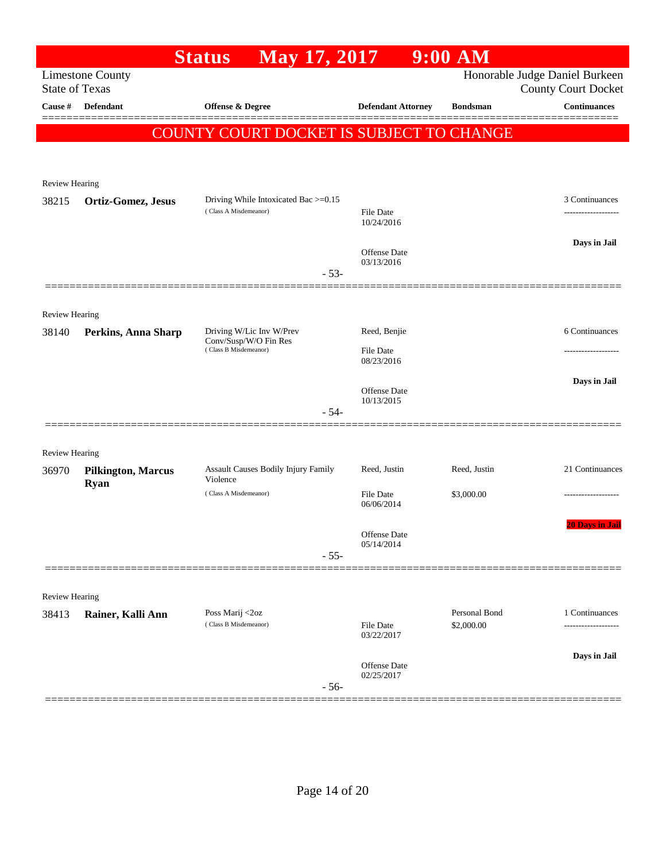|                                  |                           | May 17, 2017<br><b>Status</b>                  |                            | $9:00$ AM                   |                                                   |
|----------------------------------|---------------------------|------------------------------------------------|----------------------------|-----------------------------|---------------------------------------------------|
|                                  | <b>Limestone County</b>   |                                                |                            |                             | Honorable Judge Daniel Burkeen                    |
| <b>State of Texas</b><br>Cause # | Defendant                 | Offense & Degree                               | <b>Defendant Attorney</b>  | <b>Bondsman</b>             | <b>County Court Docket</b><br><b>Continuances</b> |
|                                  |                           |                                                |                            |                             |                                                   |
|                                  |                           | COUNTY COURT DOCKET IS SUBJECT TO CHANGE       |                            |                             |                                                   |
|                                  |                           |                                                |                            |                             |                                                   |
|                                  |                           |                                                |                            |                             |                                                   |
| Review Hearing                   |                           | Driving While Intoxicated Bac >=0.15           |                            |                             | 3 Continuances                                    |
| 38215                            | Ortiz-Gomez, Jesus        | (Class A Misdemeanor)                          | File Date<br>10/24/2016    |                             |                                                   |
|                                  |                           |                                                |                            |                             | Days in Jail                                      |
|                                  |                           | $-53-$                                         | Offense Date<br>03/13/2016 |                             |                                                   |
|                                  |                           |                                                |                            |                             |                                                   |
| <b>Review Hearing</b>            |                           |                                                |                            |                             |                                                   |
| 38140                            | Perkins, Anna Sharp       | Driving W/Lic Inv W/Prev                       | Reed, Benjie               |                             | 6 Continuances                                    |
|                                  |                           | Conv/Susp/W/O Fin Res<br>(Class B Misdemeanor) | <b>File Date</b>           |                             |                                                   |
|                                  |                           |                                                | 08/23/2016                 |                             |                                                   |
|                                  |                           |                                                | Offense Date               |                             | Days in Jail                                      |
|                                  |                           | $-54-$                                         | 10/13/2015                 |                             |                                                   |
|                                  |                           |                                                |                            |                             |                                                   |
| <b>Review Hearing</b>            |                           |                                                |                            |                             |                                                   |
| 36970                            | <b>Pilkington, Marcus</b> | Assault Causes Bodily Injury Family            | Reed, Justin               | Reed, Justin                | 21 Continuances                                   |
|                                  | <b>Ryan</b>               | Violence<br>(Class A Misdemeanor)              | <b>File Date</b>           | \$3,000.00                  |                                                   |
|                                  |                           |                                                | 06/06/2014                 |                             |                                                   |
|                                  |                           |                                                |                            |                             | <b>20 Days in Jail</b>                            |
|                                  |                           |                                                | Offense Date<br>05/14/2014 |                             |                                                   |
|                                  |                           | $-55-$                                         |                            |                             |                                                   |
|                                  |                           |                                                |                            |                             |                                                   |
| <b>Review Hearing</b>            |                           |                                                |                            |                             |                                                   |
| 38413                            | Rainer, Kalli Ann         | Poss Marij <2oz<br>(Class B Misdemeanor)       | File Date                  | Personal Bond<br>\$2,000.00 | 1 Continuances                                    |
|                                  |                           |                                                | 03/22/2017                 |                             |                                                   |
|                                  |                           |                                                | Offense Date               |                             | Days in Jail                                      |
|                                  |                           | $-56-$                                         | 02/25/2017                 |                             |                                                   |
|                                  |                           |                                                |                            |                             |                                                   |
|                                  |                           |                                                |                            |                             |                                                   |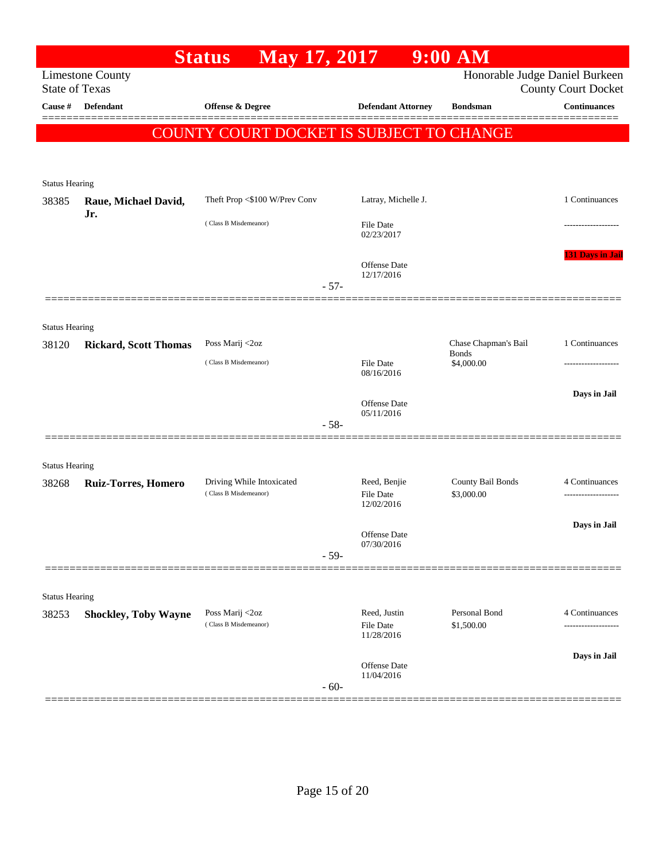|                                  |                              | May 17, 2017<br><b>Status</b>            |        |                                       | $9:00$ AM                   |                                                   |
|----------------------------------|------------------------------|------------------------------------------|--------|---------------------------------------|-----------------------------|---------------------------------------------------|
|                                  | <b>Limestone County</b>      |                                          |        |                                       |                             | Honorable Judge Daniel Burkeen                    |
| <b>State of Texas</b><br>Cause # | Defendant                    | Offense & Degree                         |        | <b>Defendant Attorney</b>             | <b>Bondsman</b>             | <b>County Court Docket</b><br><b>Continuances</b> |
|                                  |                              |                                          |        |                                       |                             |                                                   |
|                                  |                              | COUNTY COURT DOCKET IS SUBJECT TO CHANGE |        |                                       |                             |                                                   |
|                                  |                              |                                          |        |                                       |                             |                                                   |
| <b>Status Hearing</b>            |                              |                                          |        |                                       |                             |                                                   |
| 38385                            | Raue, Michael David,         | Theft Prop <\$100 W/Prev Conv            |        | Latray, Michelle J.                   |                             | 1 Continuances                                    |
|                                  | Jr.                          | (Class B Misdemeanor)                    |        | <b>File Date</b>                      |                             |                                                   |
|                                  |                              |                                          |        | 02/23/2017                            |                             |                                                   |
|                                  |                              |                                          |        | Offense Date                          |                             | <b>131 Days in Jail</b>                           |
|                                  |                              |                                          | $-57-$ | 12/17/2016                            |                             |                                                   |
|                                  |                              |                                          |        |                                       |                             |                                                   |
| <b>Status Hearing</b>            |                              |                                          |        |                                       |                             |                                                   |
| 38120                            | <b>Rickard, Scott Thomas</b> | Poss Marij <2oz                          |        |                                       | Chase Chapman's Bail        | 1 Continuances                                    |
|                                  |                              | (Class B Misdemeanor)                    |        | <b>File Date</b>                      | <b>Bonds</b><br>\$4,000.00  |                                                   |
|                                  |                              |                                          |        | 08/16/2016                            |                             |                                                   |
|                                  |                              |                                          |        | Offense Date                          |                             | Days in Jail                                      |
|                                  |                              |                                          | $-58-$ | 05/11/2016                            |                             |                                                   |
|                                  |                              |                                          |        |                                       |                             |                                                   |
| <b>Status Hearing</b>            |                              |                                          |        |                                       |                             |                                                   |
| 38268                            | <b>Ruiz-Torres, Homero</b>   | Driving While Intoxicated                |        | Reed, Benjie                          | County Bail Bonds           | 4 Continuances                                    |
|                                  |                              | (Class B Misdemeanor)                    |        | \$3,000.00<br>File Date<br>12/02/2016 |                             |                                                   |
|                                  |                              |                                          |        |                                       |                             | Days in Jail                                      |
|                                  |                              |                                          |        | Offense Date<br>07/30/2016            |                             |                                                   |
|                                  |                              |                                          | $-59-$ |                                       |                             |                                                   |
|                                  |                              |                                          |        |                                       |                             |                                                   |
| <b>Status Hearing</b>            |                              |                                          |        |                                       |                             |                                                   |
| 38253                            | <b>Shockley, Toby Wayne</b>  | Poss Marij <2oz<br>(Class B Misdemeanor) |        | Reed, Justin<br><b>File Date</b>      | Personal Bond<br>\$1,500.00 | 4 Continuances<br>.                               |
|                                  |                              |                                          |        | 11/28/2016                            |                             |                                                   |
|                                  |                              |                                          |        | Offense Date                          |                             | Days in Jail                                      |
|                                  |                              |                                          | $-60-$ | 11/04/2016                            |                             |                                                   |
|                                  |                              |                                          |        |                                       |                             |                                                   |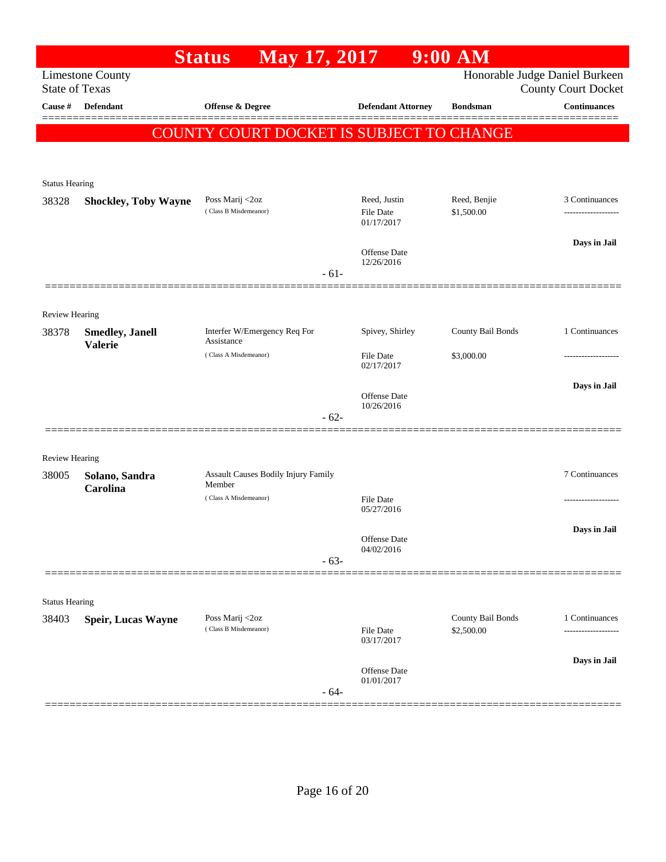|                         |                             | May 17, 2017<br><b>Status</b>                 |        |                                   | $9:00$ AM                       |                                                              |
|-------------------------|-----------------------------|-----------------------------------------------|--------|-----------------------------------|---------------------------------|--------------------------------------------------------------|
| <b>State of Texas</b>   | <b>Limestone County</b>     |                                               |        |                                   |                                 | Honorable Judge Daniel Burkeen<br><b>County Court Docket</b> |
| Cause #                 | <b>Defendant</b>            | Offense & Degree                              |        | <b>Defendant Attorney</b>         | <b>Bondsman</b>                 | <b>Continuances</b>                                          |
|                         |                             | COUNTY COURT DOCKET IS SUBJECT TO CHANGE      |        |                                   |                                 |                                                              |
|                         |                             |                                               |        |                                   |                                 |                                                              |
|                         |                             |                                               |        |                                   |                                 |                                                              |
| <b>Status Hearing</b>   |                             | Poss Marij <2oz                               |        | Reed, Justin                      | Reed, Benjie                    | 3 Continuances                                               |
| 38328                   | <b>Shockley, Toby Wayne</b> | (Class B Misdemeanor)                         |        | <b>File Date</b><br>01/17/2017    | \$1,500.00                      |                                                              |
|                         |                             |                                               |        | <b>Offense Date</b><br>12/26/2016 |                                 | Days in Jail                                                 |
|                         |                             |                                               | $-61-$ |                                   |                                 |                                                              |
|                         |                             |                                               |        |                                   |                                 |                                                              |
| Review Hearing<br>38378 | <b>Smedley</b> , Janell     | Interfer W/Emergency Req For                  |        | Spivey, Shirley                   | County Bail Bonds               | 1 Continuances                                               |
|                         | <b>Valerie</b>              | Assistance<br>(Class A Misdemeanor)           |        | <b>File Date</b>                  | \$3,000.00                      |                                                              |
|                         |                             |                                               |        | 02/17/2017                        |                                 |                                                              |
|                         |                             |                                               |        | <b>Offense Date</b>               |                                 | Days in Jail                                                 |
|                         |                             |                                               | $-62-$ | 10/26/2016                        |                                 |                                                              |
|                         |                             |                                               |        |                                   |                                 |                                                              |
| <b>Review Hearing</b>   |                             |                                               |        |                                   |                                 |                                                              |
| 38005                   | Solano, Sandra<br>Carolina  | Assault Causes Bodily Injury Family<br>Member |        |                                   |                                 | 7 Continuances                                               |
|                         |                             | (Class A Misdemeanor)                         |        | <b>File Date</b><br>05/27/2016    |                                 |                                                              |
|                         |                             |                                               |        |                                   |                                 | Days in Jail                                                 |
|                         |                             |                                               |        | Offense Date<br>04/02/2016        |                                 |                                                              |
|                         |                             |                                               | $-63-$ |                                   |                                 |                                                              |
|                         |                             |                                               |        |                                   |                                 |                                                              |
| <b>Status Hearing</b>   |                             |                                               |        |                                   |                                 |                                                              |
| 38403                   | <b>Speir, Lucas Wayne</b>   | Poss Marij <2oz<br>(Class B Misdemeanor)      |        | <b>File Date</b><br>03/17/2017    | County Bail Bonds<br>\$2,500.00 | 1 Continuances                                               |
|                         |                             |                                               |        |                                   |                                 | Days in Jail                                                 |
|                         |                             |                                               | $-64-$ | Offense Date<br>01/01/2017        |                                 |                                                              |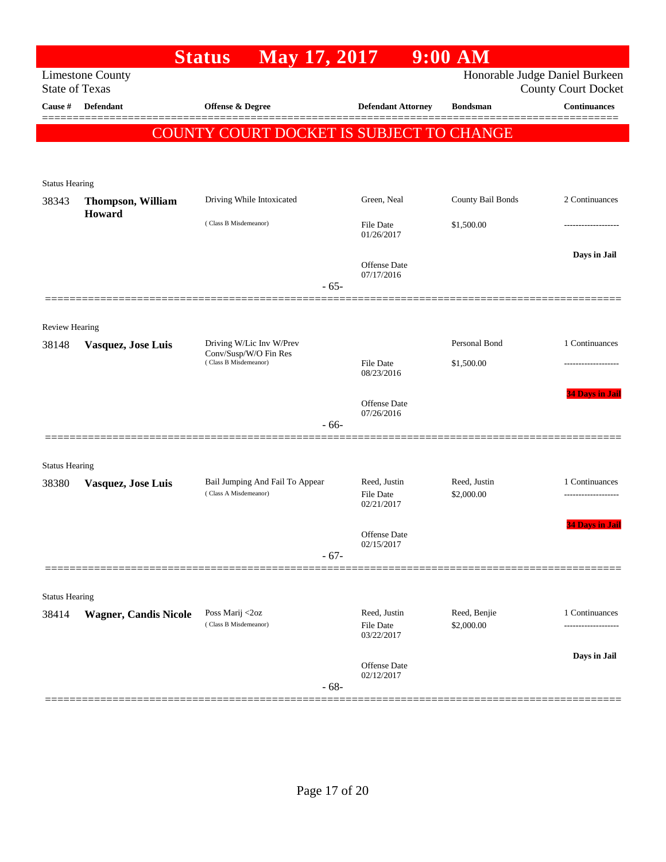|                                |                              | May 17, 2017<br><b>Status</b>                     |                                | $9:00$ AM         |                                                              |
|--------------------------------|------------------------------|---------------------------------------------------|--------------------------------|-------------------|--------------------------------------------------------------|
| <b>State of Texas</b>          | <b>Limestone County</b>      |                                                   |                                |                   | Honorable Judge Daniel Burkeen<br><b>County Court Docket</b> |
| Cause #                        | Defendant                    | Offense & Degree                                  | <b>Defendant Attorney</b>      | <b>Bondsman</b>   | <b>Continuances</b>                                          |
|                                |                              | COUNTY COURT DOCKET IS SUBJECT TO CHANGE          |                                |                   | =======                                                      |
|                                |                              |                                                   |                                |                   |                                                              |
|                                |                              |                                                   |                                |                   |                                                              |
| <b>Status Hearing</b><br>38343 | Thompson, William            | Driving While Intoxicated                         | Green, Neal                    | County Bail Bonds | 2 Continuances                                               |
|                                | Howard                       | (Class B Misdemeanor)                             | File Date                      | \$1,500.00        |                                                              |
|                                |                              |                                                   | 01/26/2017                     |                   |                                                              |
|                                |                              |                                                   | Offense Date                   |                   | Days in Jail                                                 |
|                                |                              | $-65-$                                            | 07/17/2016                     |                   |                                                              |
|                                |                              |                                                   |                                |                   |                                                              |
| Review Hearing                 |                              |                                                   |                                |                   |                                                              |
| 38148                          | Vasquez, Jose Luis           | Driving W/Lic Inv W/Prev<br>Conv/Susp/W/O Fin Res |                                | Personal Bond     | 1 Continuances                                               |
|                                |                              | (Class B Misdemeanor)                             | File Date<br>08/23/2016        | \$1,500.00        |                                                              |
|                                |                              |                                                   |                                |                   | <b>34 Days in Jail</b>                                       |
|                                |                              |                                                   | Offense Date<br>07/26/2016     |                   |                                                              |
|                                |                              | $-66-$                                            |                                |                   |                                                              |
| <b>Status Hearing</b>          |                              |                                                   |                                |                   |                                                              |
| 38380                          | Vasquez, Jose Luis           | Bail Jumping And Fail To Appear                   | Reed, Justin                   | Reed, Justin      | 1 Continuances                                               |
|                                |                              | (Class A Misdemeanor)                             | <b>File Date</b><br>02/21/2017 | \$2,000.00        |                                                              |
|                                |                              |                                                   |                                |                   | <b>34 Days in Jail</b>                                       |
|                                |                              |                                                   | Offense Date<br>02/15/2017     |                   |                                                              |
|                                |                              | $-67-$                                            |                                |                   |                                                              |
|                                |                              |                                                   |                                |                   |                                                              |
| <b>Status Hearing</b><br>38414 | <b>Wagner, Candis Nicole</b> | Poss Marij <2oz                                   | Reed, Justin                   | Reed, Benjie      | 1 Continuances                                               |
|                                |                              | (Class B Misdemeanor)                             | File Date<br>03/22/2017        | \$2,000.00        |                                                              |
|                                |                              |                                                   |                                |                   | Days in Jail                                                 |
|                                |                              |                                                   | Offense Date<br>02/12/2017     |                   |                                                              |
|                                |                              | $-68-$                                            |                                |                   |                                                              |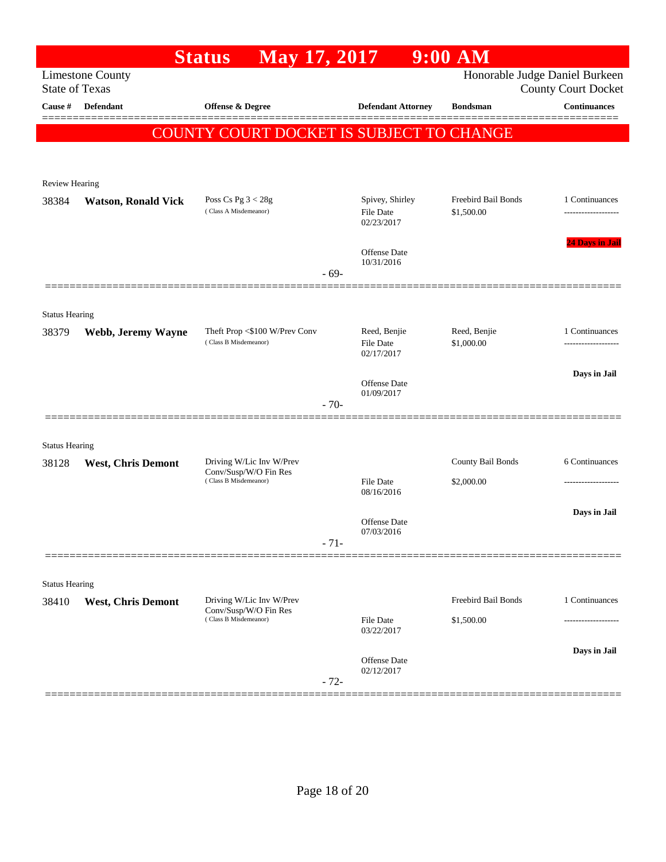|                       |                            | <b>Status</b><br>May 17, 2017                          |        |                                                | $9:00$ AM                         |                                                              |
|-----------------------|----------------------------|--------------------------------------------------------|--------|------------------------------------------------|-----------------------------------|--------------------------------------------------------------|
| <b>State of Texas</b> | <b>Limestone County</b>    |                                                        |        |                                                |                                   | Honorable Judge Daniel Burkeen<br><b>County Court Docket</b> |
| Cause #               | <b>Defendant</b>           | Offense & Degree                                       |        | <b>Defendant Attorney</b>                      | <b>Bondsman</b>                   | <b>Continuances</b>                                          |
|                       |                            | <b>COUNTY COURT DOCKET IS SUBJECT TO CHANGE</b>        |        |                                                |                                   |                                                              |
|                       |                            |                                                        |        |                                                |                                   |                                                              |
| <b>Review Hearing</b> |                            |                                                        |        |                                                |                                   |                                                              |
| 38384                 | <b>Watson, Ronald Vick</b> | Poss Cs Pg $3 < 28g$<br>(Class A Misdemeanor)          |        | Spivey, Shirley<br>File Date<br>02/23/2017     | Freebird Bail Bonds<br>\$1,500.00 | 1 Continuances                                               |
|                       |                            |                                                        |        | Offense Date<br>10/31/2016                     |                                   | <b>24 Days in Jail</b>                                       |
|                       |                            |                                                        | $-69-$ |                                                |                                   |                                                              |
| <b>Status Hearing</b> |                            |                                                        |        |                                                |                                   |                                                              |
| 38379                 | Webb, Jeremy Wayne         | Theft Prop <\$100 W/Prev Conv<br>(Class B Misdemeanor) |        | Reed, Benjie<br><b>File Date</b><br>02/17/2017 | Reed, Benjie<br>\$1,000.00        | 1 Continuances<br>-----------------                          |
|                       |                            |                                                        |        |                                                |                                   | Days in Jail                                                 |
|                       |                            |                                                        | $-70-$ | <b>Offense Date</b><br>01/09/2017              |                                   |                                                              |
| <b>Status Hearing</b> |                            |                                                        |        |                                                |                                   |                                                              |
| 38128                 | <b>West, Chris Demont</b>  | Driving W/Lic Inv W/Prev                               |        |                                                | County Bail Bonds                 | 6 Continuances                                               |
|                       |                            | Conv/Susp/W/O Fin Res<br>(Class B Misdemeanor)         |        | <b>File Date</b><br>08/16/2016                 | \$2,000.00                        |                                                              |
|                       |                            |                                                        | $-71-$ | Offense Date<br>07/03/2016                     |                                   | Days in Jail                                                 |
|                       |                            |                                                        |        |                                                |                                   |                                                              |
| <b>Status Hearing</b> |                            |                                                        |        |                                                |                                   |                                                              |
| 38410                 | <b>West, Chris Demont</b>  | Driving W/Lic Inv W/Prev<br>Conv/Susp/W/O Fin Res      |        |                                                | Freebird Bail Bonds               | 1 Continuances                                               |
|                       |                            | (Class B Misdemeanor)                                  |        | File Date<br>03/22/2017                        | \$1,500.00                        | -----------------                                            |
|                       |                            |                                                        | $-72-$ | Offense Date<br>02/12/2017                     |                                   | Days in Jail                                                 |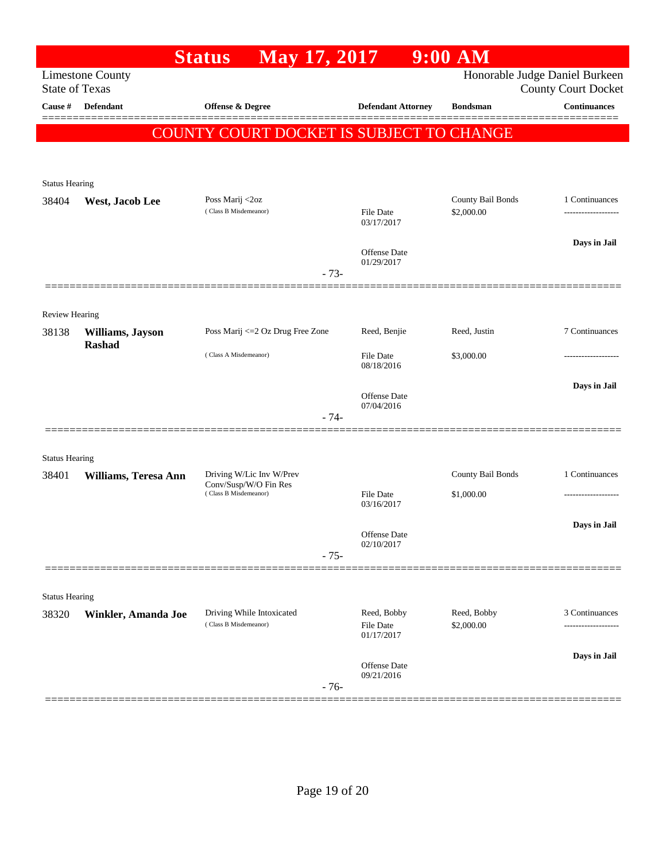|                         |                         | <b>Status</b>                                      | May 17, 2017 |        |                                        | $9:00$ AM                                       |                                                              |
|-------------------------|-------------------------|----------------------------------------------------|--------------|--------|----------------------------------------|-------------------------------------------------|--------------------------------------------------------------|
| <b>State of Texas</b>   | <b>Limestone County</b> |                                                    |              |        |                                        |                                                 | Honorable Judge Daniel Burkeen<br><b>County Court Docket</b> |
| Cause #                 | <b>Defendant</b>        | Offense & Degree                                   |              |        | <b>Defendant Attorney</b>              | <b>Bondsman</b>                                 | <b>Continuances</b>                                          |
|                         |                         |                                                    |              |        |                                        | <b>COUNTY COURT DOCKET IS SUBJECT TO CHANGE</b> |                                                              |
|                         |                         |                                                    |              |        |                                        |                                                 |                                                              |
|                         |                         |                                                    |              |        |                                        |                                                 |                                                              |
| <b>Status Hearing</b>   |                         |                                                    |              |        |                                        |                                                 |                                                              |
| 38404                   | West, Jacob Lee         | Poss Marij <2oz<br>(Class B Misdemeanor)           |              |        | File Date<br>03/17/2017                | County Bail Bonds<br>\$2,000.00                 | 1 Continuances                                               |
|                         |                         |                                                    |              |        | Offense Date<br>01/29/2017             |                                                 | Days in Jail                                                 |
|                         |                         |                                                    |              | $-73-$ |                                        |                                                 |                                                              |
|                         |                         |                                                    |              |        |                                        |                                                 |                                                              |
| Review Hearing<br>38138 | Williams, Jayson        | Poss Marij <= 2 Oz Drug Free Zone                  |              |        | Reed, Benjie                           | Reed, Justin                                    | 7 Continuances                                               |
|                         | <b>Rashad</b>           | (Class A Misdemeanor)                              |              |        | <b>File Date</b>                       | \$3,000.00                                      |                                                              |
|                         |                         |                                                    |              |        | 08/18/2016                             |                                                 |                                                              |
|                         |                         |                                                    |              |        | <b>Offense Date</b><br>07/04/2016      |                                                 | Days in Jail                                                 |
|                         |                         |                                                    |              | $-74-$ |                                        |                                                 |                                                              |
| <b>Status Hearing</b>   |                         |                                                    |              |        |                                        |                                                 |                                                              |
| 38401                   | Williams, Teresa Ann    | Driving W/Lic Inv W/Prev                           |              |        |                                        | County Bail Bonds                               | 1 Continuances                                               |
|                         |                         | Conv/Susp/W/O Fin Res<br>(Class B Misdemeanor)     |              |        | <b>File Date</b><br>03/16/2017         | \$1,000.00                                      | .                                                            |
|                         |                         |                                                    |              |        | Offense Date                           |                                                 | Days in Jail                                                 |
|                         |                         |                                                    |              | $-75-$ | 02/10/2017                             |                                                 |                                                              |
|                         |                         |                                                    |              |        |                                        |                                                 |                                                              |
| <b>Status Hearing</b>   |                         |                                                    |              |        |                                        |                                                 |                                                              |
| 38320                   | Winkler, Amanda Joe     | Driving While Intoxicated<br>(Class B Misdemeanor) |              |        | Reed, Bobby<br>File Date<br>01/17/2017 | Reed, Bobby<br>\$2,000.00                       | 3 Continuances                                               |
|                         |                         |                                                    |              |        |                                        |                                                 | Days in Jail                                                 |
|                         |                         |                                                    |              |        | Offense Date<br>09/21/2016             |                                                 |                                                              |
|                         |                         |                                                    |              | $-76-$ |                                        |                                                 |                                                              |